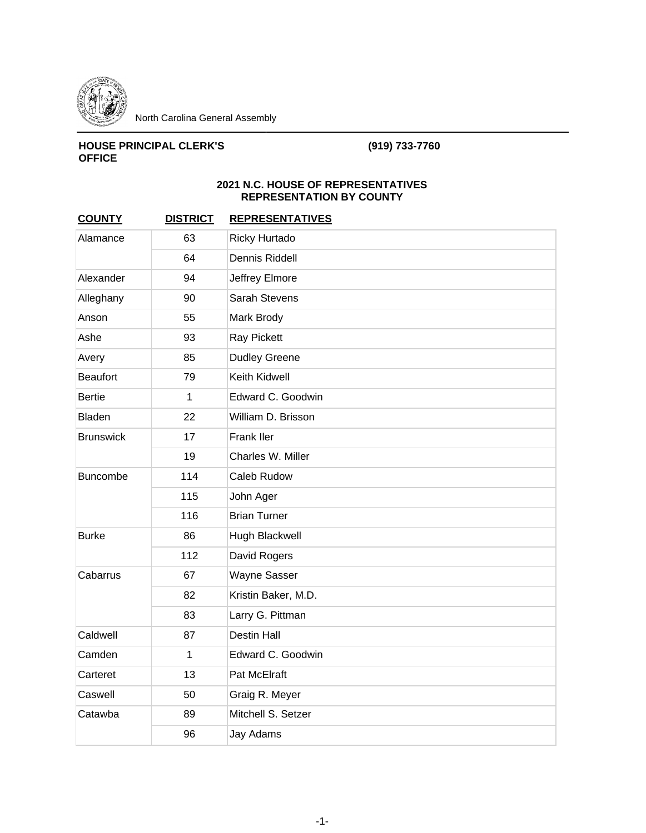

## **HOUSE PRINCIPAL CLERK'S OFFICE**

## **(919) 733-7760**

## **2021 N.C. HOUSE OF REPRESENTATIVES REPRESENTATION BY COUNTY**

| <b>COUNTY</b>    | <b>DISTRICT</b> | <b>REPRESENTATIVES</b> |
|------------------|-----------------|------------------------|
| Alamance         | 63              | <b>Ricky Hurtado</b>   |
|                  | 64              | Dennis Riddell         |
| Alexander        | 94              | Jeffrey Elmore         |
| Alleghany        | 90              | Sarah Stevens          |
| Anson            | 55              | Mark Brody             |
| Ashe             | 93              | Ray Pickett            |
| Avery            | 85              | <b>Dudley Greene</b>   |
| <b>Beaufort</b>  | 79              | Keith Kidwell          |
| <b>Bertie</b>    | $\mathbf{1}$    | Edward C. Goodwin      |
| <b>Bladen</b>    | 22              | William D. Brisson     |
| <b>Brunswick</b> | 17              | Frank Iler             |
|                  | 19              | Charles W. Miller      |
| <b>Buncombe</b>  | 114             | Caleb Rudow            |
|                  | 115             | John Ager              |
|                  | 116             | <b>Brian Turner</b>    |
| <b>Burke</b>     | 86              | Hugh Blackwell         |
|                  | 112             | David Rogers           |
| Cabarrus         | 67              | <b>Wayne Sasser</b>    |
|                  | 82              | Kristin Baker, M.D.    |
|                  | 83              | Larry G. Pittman       |
| Caldwell         | 87              | <b>Destin Hall</b>     |
| Camden           | $\mathbf{1}$    | Edward C. Goodwin      |
| Carteret         | 13              | Pat McElraft           |
| Caswell          | 50              | Graig R. Meyer         |
| Catawba          | 89              | Mitchell S. Setzer     |
|                  | 96              | Jay Adams              |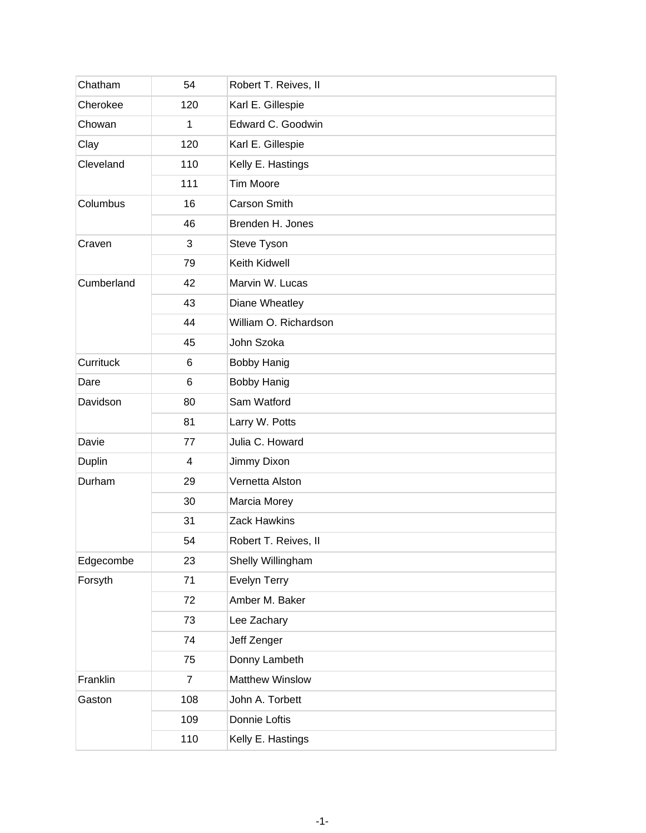| Chatham    | 54             | Robert T. Reives, II   |
|------------|----------------|------------------------|
| Cherokee   | 120            | Karl E. Gillespie      |
| Chowan     | $\mathbf{1}$   | Edward C. Goodwin      |
| Clay       | 120            | Karl E. Gillespie      |
| Cleveland  | 110            | Kelly E. Hastings      |
|            | 111            | <b>Tim Moore</b>       |
| Columbus   | 16             | Carson Smith           |
|            | 46             | Brenden H. Jones       |
| Craven     | 3              | Steve Tyson            |
|            | 79             | Keith Kidwell          |
| Cumberland | 42             | Marvin W. Lucas        |
|            | 43             | Diane Wheatley         |
|            | 44             | William O. Richardson  |
|            | 45             | John Szoka             |
| Currituck  | 6              | <b>Bobby Hanig</b>     |
| Dare       | 6              | <b>Bobby Hanig</b>     |
| Davidson   | 80             | Sam Watford            |
|            | 81             | Larry W. Potts         |
| Davie      | 77             | Julia C. Howard        |
| Duplin     | 4              | Jimmy Dixon            |
| Durham     | 29             | Vernetta Alston        |
|            | 30             | Marcia Morey           |
|            | 31             | <b>Zack Hawkins</b>    |
|            | 54             | Robert T. Reives, II   |
| Edgecombe  | 23             | Shelly Willingham      |
| Forsyth    | 71             | Evelyn Terry           |
|            | 72             | Amber M. Baker         |
|            | 73             | Lee Zachary            |
|            | 74             | Jeff Zenger            |
|            | 75             | Donny Lambeth          |
| Franklin   | $\overline{7}$ | <b>Matthew Winslow</b> |
| Gaston     | 108            | John A. Torbett        |
|            | 109            | Donnie Loftis          |
|            | 110            | Kelly E. Hastings      |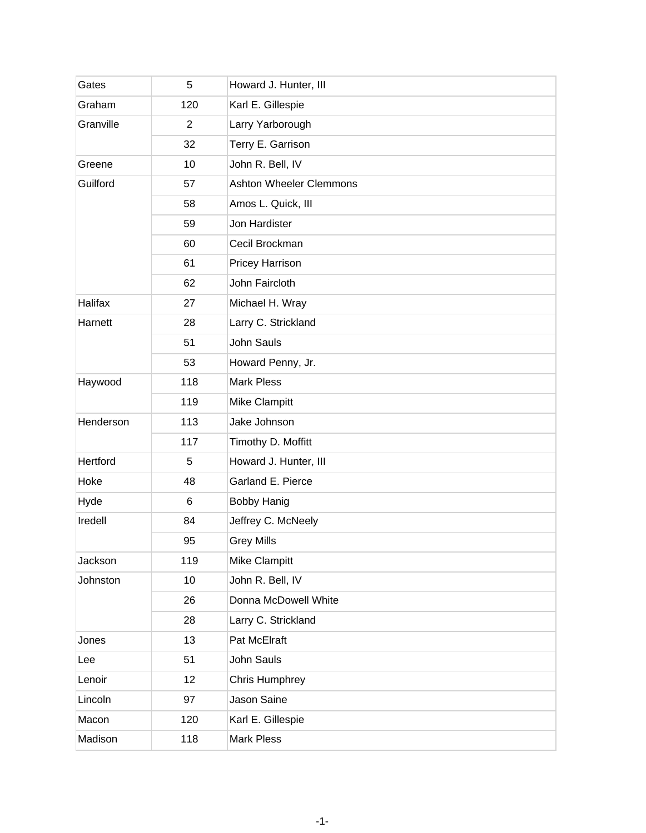| Gates     | 5              | Howard J. Hunter, III          |
|-----------|----------------|--------------------------------|
| Graham    | 120            | Karl E. Gillespie              |
| Granville | $\overline{2}$ | Larry Yarborough               |
|           | 32             | Terry E. Garrison              |
| Greene    | 10             | John R. Bell, IV               |
| Guilford  | 57             | <b>Ashton Wheeler Clemmons</b> |
|           | 58             | Amos L. Quick, III             |
|           | 59             | Jon Hardister                  |
|           | 60             | Cecil Brockman                 |
|           | 61             | Pricey Harrison                |
|           | 62             | John Faircloth                 |
| Halifax   | 27             | Michael H. Wray                |
| Harnett   | 28             | Larry C. Strickland            |
|           | 51             | John Sauls                     |
|           | 53             | Howard Penny, Jr.              |
| Haywood   | 118            | <b>Mark Pless</b>              |
|           | 119            | Mike Clampitt                  |
| Henderson | 113            | Jake Johnson                   |
|           | 117            | Timothy D. Moffitt             |
| Hertford  | 5              | Howard J. Hunter, III          |
| Hoke      | 48             | Garland E. Pierce              |
| Hyde      | 6              | <b>Bobby Hanig</b>             |
| Iredell   | 84             | Jeffrey C. McNeely             |
|           | 95             | <b>Grey Mills</b>              |
| Jackson   | 119            | Mike Clampitt                  |
| Johnston  | 10             | John R. Bell, IV               |
|           | 26             | Donna McDowell White           |
|           | 28             | Larry C. Strickland            |
| Jones     | 13             | Pat McElraft                   |
| Lee       | 51             | John Sauls                     |
| Lenoir    | 12             | <b>Chris Humphrey</b>          |
| Lincoln   | 97             | Jason Saine                    |
| Macon     | 120            | Karl E. Gillespie              |
| Madison   | 118            | <b>Mark Pless</b>              |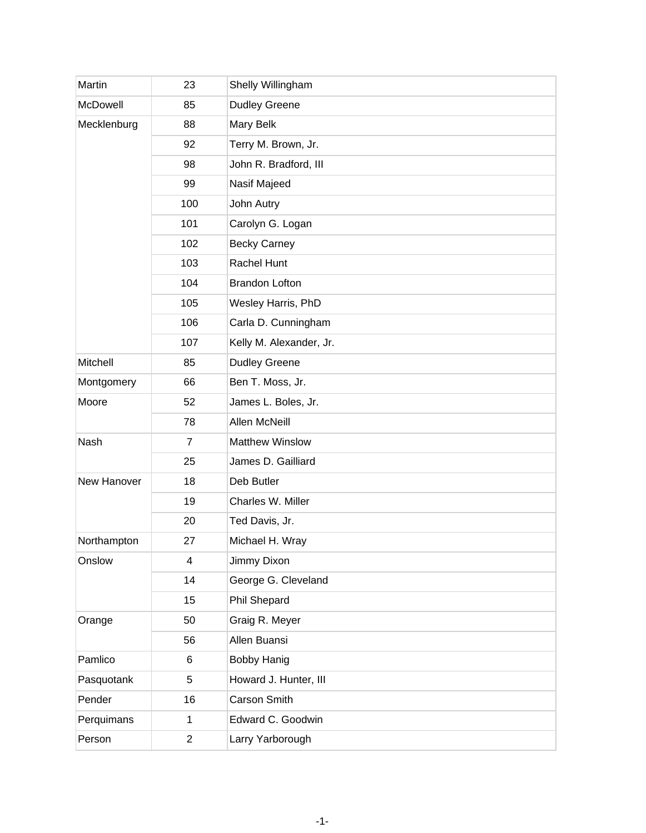| Martin      | 23             | Shelly Willingham       |
|-------------|----------------|-------------------------|
| McDowell    | 85             | <b>Dudley Greene</b>    |
| Mecklenburg | 88             | Mary Belk               |
|             | 92             | Terry M. Brown, Jr.     |
|             | 98             | John R. Bradford, III   |
|             | 99             | Nasif Majeed            |
|             | 100            | John Autry              |
|             | 101            | Carolyn G. Logan        |
|             | 102            | <b>Becky Carney</b>     |
|             | 103            | Rachel Hunt             |
|             | 104            | <b>Brandon Lofton</b>   |
|             | 105            | Wesley Harris, PhD      |
|             | 106            | Carla D. Cunningham     |
|             | 107            | Kelly M. Alexander, Jr. |
| Mitchell    | 85             | <b>Dudley Greene</b>    |
| Montgomery  | 66             | Ben T. Moss, Jr.        |
| Moore       | 52             | James L. Boles, Jr.     |
|             | 78             | Allen McNeill           |
| Nash        | $\overline{7}$ | <b>Matthew Winslow</b>  |
|             | 25             | James D. Gailliard      |
| New Hanover | 18             | Deb Butler              |
|             | 19             | Charles W. Miller       |
|             | 20             | Ted Davis, Jr.          |
| Northampton | 27             | Michael H. Wray         |
| Onslow      | 4              | Jimmy Dixon             |
|             | 14             | George G. Cleveland     |
|             | 15             | Phil Shepard            |
| Orange      | 50             | Graig R. Meyer          |
|             | 56             | Allen Buansi            |
| Pamlico     | 6              | <b>Bobby Hanig</b>      |
| Pasquotank  | 5              | Howard J. Hunter, III   |
| Pender      | 16             | Carson Smith            |
| Perquimans  | 1              | Edward C. Goodwin       |
| Person      | $\overline{c}$ | Larry Yarborough        |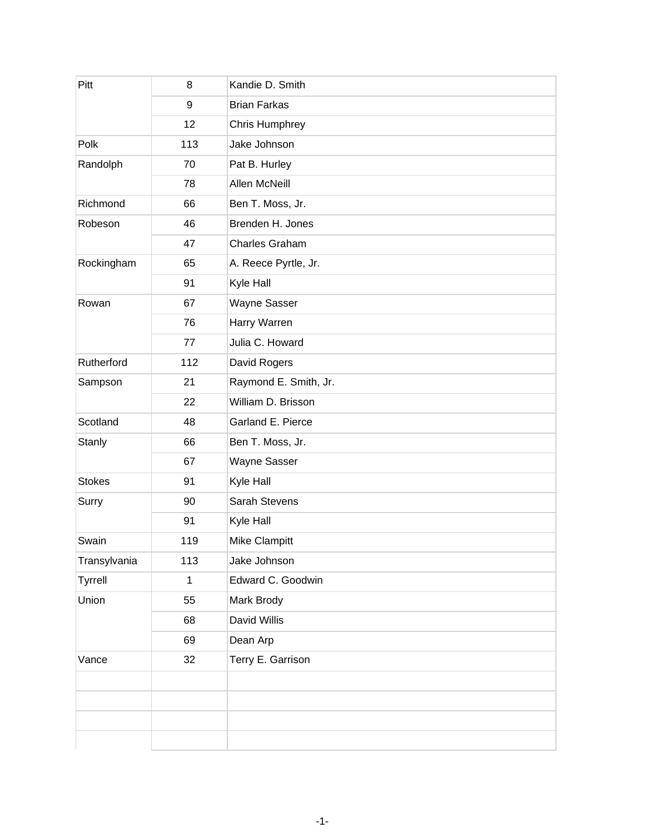| Pitt           | 8           | Kandie D. Smith       |
|----------------|-------------|-----------------------|
|                | 9           | <b>Brian Farkas</b>   |
|                | 12          | Chris Humphrey        |
| Polk           | 113         | Jake Johnson          |
| Randolph       | 70          | Pat B. Hurley         |
|                | 78          | Allen McNeill         |
| Richmond       | 66          | Ben T. Moss, Jr.      |
| Robeson        | 46          | Brenden H. Jones      |
|                | 47          | Charles Graham        |
| Rockingham     | 65          | A. Reece Pyrtle, Jr.  |
|                | 91          | Kyle Hall             |
| Rowan          | 67          | <b>Wayne Sasser</b>   |
|                | 76          | Harry Warren          |
|                | 77          | Julia C. Howard       |
| Rutherford     | 112         | David Rogers          |
| Sampson        | 21          | Raymond E. Smith, Jr. |
|                | 22          | William D. Brisson    |
| Scotland       | 48          | Garland E. Pierce     |
| Stanly         | 66          | Ben T. Moss, Jr.      |
|                | 67          | Wayne Sasser          |
| <b>Stokes</b>  | 91          | Kyle Hall             |
| Surry          | 90          | Sarah Stevens         |
|                | 91          | Kyle Hall             |
| Swain          | 119         | <b>Mike Clampitt</b>  |
| Transylvania   | 113         | Jake Johnson          |
| <b>Tyrrell</b> | $\mathbf 1$ | Edward C. Goodwin     |
| Union          | 55          | Mark Brody            |
|                | 68          | David Willis          |
|                | 69          | Dean Arp              |
| Vance          | 32          | Terry E. Garrison     |
|                |             |                       |
|                |             |                       |
|                |             |                       |
|                |             |                       |